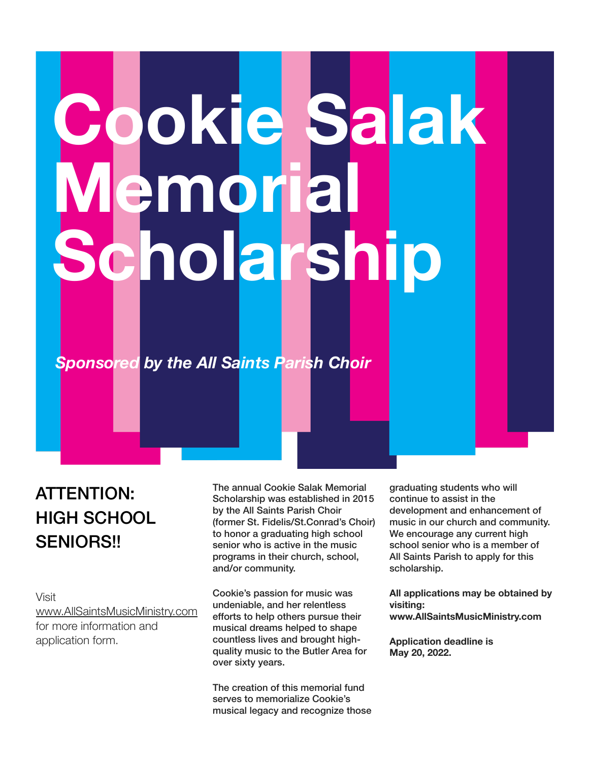# **Cookie Salak Jemoria Cholarsh**

## *Sponsored by the All Saints Parish Choir*

## ATTENTION: HIGH SCHOOL SENIORS!!

Visit [www.AllSaintsMusicMinistry.com](http://www.AllSaintsMusicMinistry.com) for more information and application form.

The annual Cookie Salak Memorial Scholarship was established in 2015 by the All Saints Parish Choir (former St. Fidelis/St.Conrad's Choir) to honor a graduating high school senior who is active in the music programs in their church, school, and/or community.

Cookie's passion for music was undeniable, and her relentless efforts to help others pursue their musical dreams helped to shape countless lives and brought highquality music to the Butler Area for over sixty years.

The creation of this memorial fund serves to memorialize Cookie's musical legacy and recognize those graduating students who will continue to assist in the development and enhancement of music in our church and community. We encourage any current high school senior who is a member of All Saints Parish to apply for this scholarship.

**All applications may be obtained by visiting: www.AllSaintsMusicMinistry.com** 

**Application deadline is May 20, 2022.**